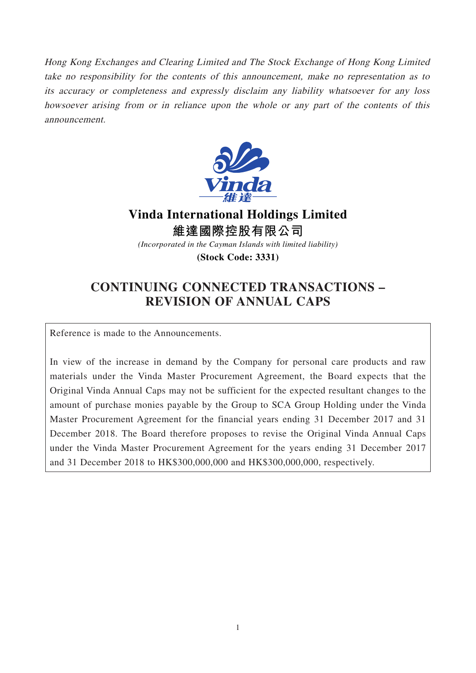Hong Kong Exchanges and Clearing Limited and The Stock Exchange of Hong Kong Limited take no responsibility for the contents of this announcement, make no representation as to its accuracy or completeness and expressly disclaim any liability whatsoever for any loss howsoever arising from or in reliance upon the whole or any part of the contents of this announcement.



**Vinda International Holdings Limited 維達國際控股有限公司**

*(Incorporated in the Cayman Islands with limited liability)*

**(Stock Code: 3331)**

# **CONTINUING CONNECTED TRANSACTIONS – REVISION OF ANNUAL CAPS**

Reference is made to the Announcements.

In view of the increase in demand by the Company for personal care products and raw materials under the Vinda Master Procurement Agreement, the Board expects that the Original Vinda Annual Caps may not be sufficient for the expected resultant changes to the amount of purchase monies payable by the Group to SCA Group Holding under the Vinda Master Procurement Agreement for the financial years ending 31 December 2017 and 31 December 2018. The Board therefore proposes to revise the Original Vinda Annual Caps under the Vinda Master Procurement Agreement for the years ending 31 December 2017 and 31 December 2018 to HK\$300,000,000 and HK\$300,000,000, respectively.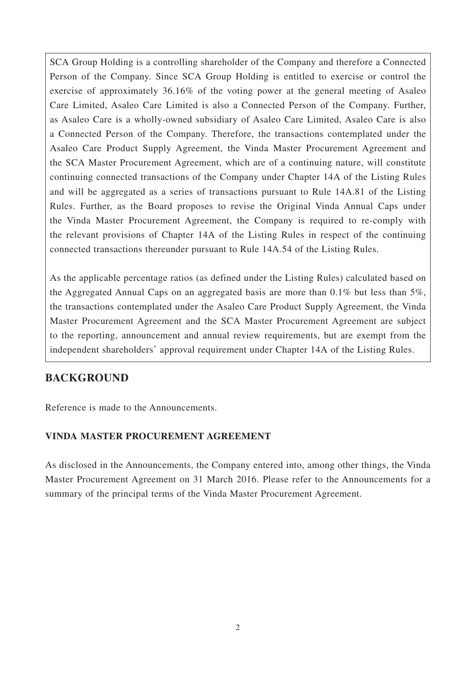SCA Group Holding is a controlling shareholder of the Company and therefore a Connected Person of the Company. Since SCA Group Holding is entitled to exercise or control the exercise of approximately 36.16% of the voting power at the general meeting of Asaleo Care Limited, Asaleo Care Limited is also a Connected Person of the Company. Further, as Asaleo Care is a wholly-owned subsidiary of Asaleo Care Limited, Asaleo Care is also a Connected Person of the Company. Therefore, the transactions contemplated under the Asaleo Care Product Supply Agreement, the Vinda Master Procurement Agreement and the SCA Master Procurement Agreement, which are of a continuing nature, will constitute continuing connected transactions of the Company under Chapter 14A of the Listing Rules and will be aggregated as a series of transactions pursuant to Rule 14A.81 of the Listing Rules. Further, as the Board proposes to revise the Original Vinda Annual Caps under the Vinda Master Procurement Agreement, the Company is required to re-comply with the relevant provisions of Chapter 14A of the Listing Rules in respect of the continuing connected transactions thereunder pursuant to Rule 14A.54 of the Listing Rules.

As the applicable percentage ratios (as defined under the Listing Rules) calculated based on the Aggregated Annual Caps on an aggregated basis are more than 0.1% but less than 5%, the transactions contemplated under the Asaleo Care Product Supply Agreement, the Vinda Master Procurement Agreement and the SCA Master Procurement Agreement are subject to the reporting, announcement and annual review requirements, but are exempt from the independent shareholders' approval requirement under Chapter 14A of the Listing Rules.

## **BACKGROUND**

Reference is made to the Announcements.

#### **VINDA MASTER PROCUREMENT AGREEMENT**

As disclosed in the Announcements, the Company entered into, among other things, the Vinda Master Procurement Agreement on 31 March 2016. Please refer to the Announcements for a summary of the principal terms of the Vinda Master Procurement Agreement.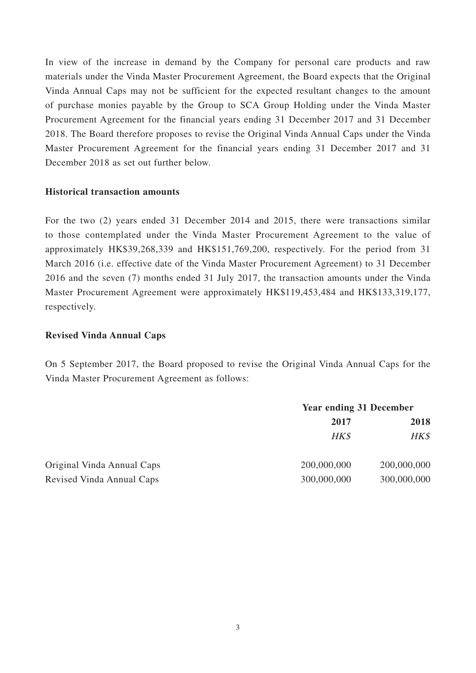In view of the increase in demand by the Company for personal care products and raw materials under the Vinda Master Procurement Agreement, the Board expects that the Original Vinda Annual Caps may not be sufficient for the expected resultant changes to the amount of purchase monies payable by the Group to SCA Group Holding under the Vinda Master Procurement Agreement for the financial years ending 31 December 2017 and 31 December 2018. The Board therefore proposes to revise the Original Vinda Annual Caps under the Vinda Master Procurement Agreement for the financial years ending 31 December 2017 and 31 December 2018 as set out further below.

#### **Historical transaction amounts**

For the two (2) years ended 31 December 2014 and 2015, there were transactions similar to those contemplated under the Vinda Master Procurement Agreement to the value of approximately HK\$39,268,339 and HK\$151,769,200, respectively. For the period from 31 March 2016 (i.e. effective date of the Vinda Master Procurement Agreement) to 31 December 2016 and the seven (7) months ended 31 July 2017, the transaction amounts under the Vinda Master Procurement Agreement were approximately HK\$119,453,484 and HK\$133,319,177, respectively.

#### **Revised Vinda Annual Caps**

On 5 September 2017, the Board proposed to revise the Original Vinda Annual Caps for the Vinda Master Procurement Agreement as follows:

|                            | <b>Year ending 31 December</b> |             |
|----------------------------|--------------------------------|-------------|
|                            | 2017                           | 2018        |
|                            | HK\$                           | HK\$        |
| Original Vinda Annual Caps | 200,000,000                    | 200,000,000 |
| Revised Vinda Annual Caps  | 300,000,000                    | 300,000,000 |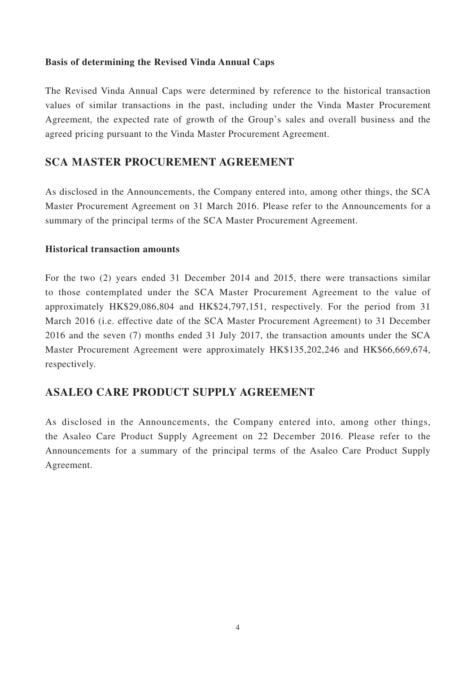#### **Basis of determining the Revised Vinda Annual Caps**

The Revised Vinda Annual Caps were determined by reference to the historical transaction values of similar transactions in the past, including under the Vinda Master Procurement Agreement, the expected rate of growth of the Group's sales and overall business and the agreed pricing pursuant to the Vinda Master Procurement Agreement.

### **SCA MASTER PROCUREMENT AGREEMENT**

As disclosed in the Announcements, the Company entered into, among other things, the SCA Master Procurement Agreement on 31 March 2016. Please refer to the Announcements for a summary of the principal terms of the SCA Master Procurement Agreement.

#### **Historical transaction amounts**

For the two (2) years ended 31 December 2014 and 2015, there were transactions similar to those contemplated under the SCA Master Procurement Agreement to the value of approximately HK\$29,086,804 and HK\$24,797,151, respectively. For the period from 31 March 2016 (i.e. effective date of the SCA Master Procurement Agreement) to 31 December 2016 and the seven (7) months ended 31 July 2017, the transaction amounts under the SCA Master Procurement Agreement were approximately HK\$135,202,246 and HK\$66,669,674, respectively.

### **ASALEO CARE PRODUCT SUPPLY AGREEMENT**

As disclosed in the Announcements, the Company entered into, among other things, the Asaleo Care Product Supply Agreement on 22 December 2016. Please refer to the Announcements for a summary of the principal terms of the Asaleo Care Product Supply Agreement.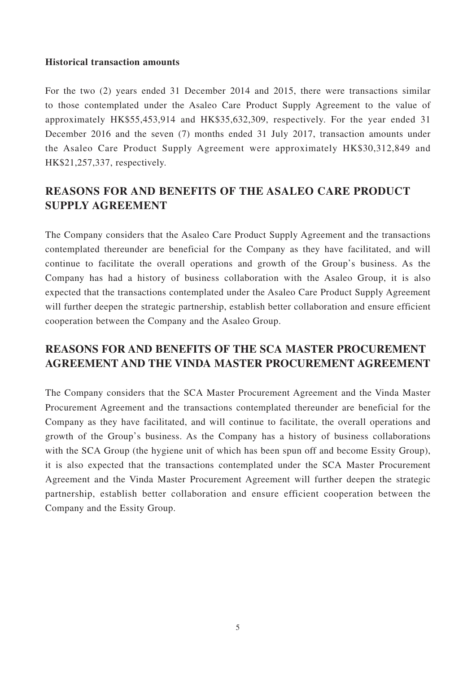#### **Historical transaction amounts**

For the two (2) years ended 31 December 2014 and 2015, there were transactions similar to those contemplated under the Asaleo Care Product Supply Agreement to the value of approximately HK\$55,453,914 and HK\$35,632,309, respectively. For the year ended 31 December 2016 and the seven (7) months ended 31 July 2017, transaction amounts under the Asaleo Care Product Supply Agreement were approximately HK\$30,312,849 and HK\$21,257,337, respectively.

# **REASONS FOR AND BENEFITS OF THE ASALEO CARE PRODUCT SUPPLY AGREEMENT**

The Company considers that the Asaleo Care Product Supply Agreement and the transactions contemplated thereunder are beneficial for the Company as they have facilitated, and will continue to facilitate the overall operations and growth of the Group's business. As the Company has had a history of business collaboration with the Asaleo Group, it is also expected that the transactions contemplated under the Asaleo Care Product Supply Agreement will further deepen the strategic partnership, establish better collaboration and ensure efficient cooperation between the Company and the Asaleo Group.

## **REASONS FOR AND BENEFITS OF THE SCA MASTER PROCUREMENT AGREEMENT AND THE VINDA MASTER PROCUREMENT AGREEMENT**

The Company considers that the SCA Master Procurement Agreement and the Vinda Master Procurement Agreement and the transactions contemplated thereunder are beneficial for the Company as they have facilitated, and will continue to facilitate, the overall operations and growth of the Group's business. As the Company has a history of business collaborations with the SCA Group (the hygiene unit of which has been spun off and become Essity Group), it is also expected that the transactions contemplated under the SCA Master Procurement Agreement and the Vinda Master Procurement Agreement will further deepen the strategic partnership, establish better collaboration and ensure efficient cooperation between the Company and the Essity Group.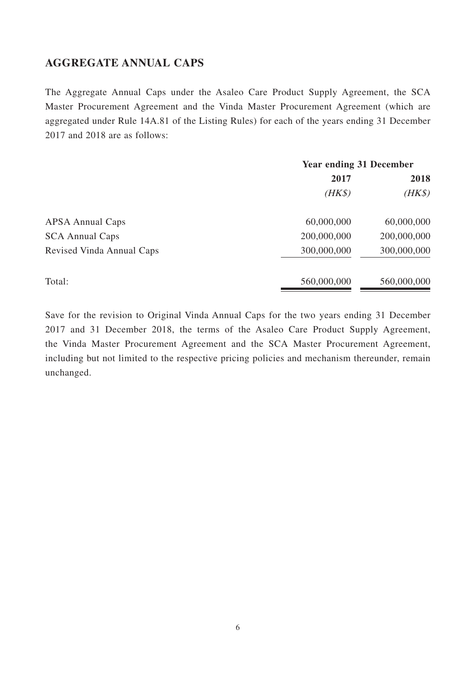### **AGGREGATE ANNUAL CAPS**

The Aggregate Annual Caps under the Asaleo Care Product Supply Agreement, the SCA Master Procurement Agreement and the Vinda Master Procurement Agreement (which are aggregated under Rule 14A.81 of the Listing Rules) for each of the years ending 31 December 2017 and 2018 are as follows:

|                           | <b>Year ending 31 December</b> |             |
|---------------------------|--------------------------------|-------------|
|                           | 2017                           | 2018        |
|                           | $(HK\$                         | $(HK\$      |
| <b>APSA Annual Caps</b>   | 60,000,000                     | 60,000,000  |
| <b>SCA Annual Caps</b>    | 200,000,000                    | 200,000,000 |
| Revised Vinda Annual Caps | 300,000,000                    | 300,000,000 |
| Total:                    | 560,000,000                    | 560,000,000 |

Save for the revision to Original Vinda Annual Caps for the two years ending 31 December 2017 and 31 December 2018, the terms of the Asaleo Care Product Supply Agreement, the Vinda Master Procurement Agreement and the SCA Master Procurement Agreement, including but not limited to the respective pricing policies and mechanism thereunder, remain unchanged.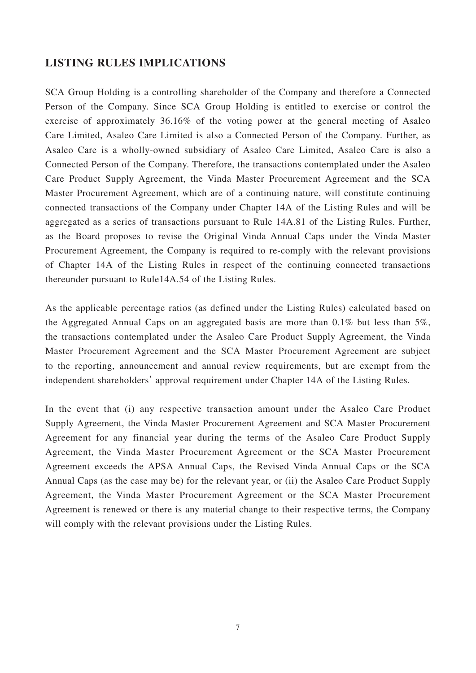### **LISTING RULES IMPLICATIONS**

SCA Group Holding is a controlling shareholder of the Company and therefore a Connected Person of the Company. Since SCA Group Holding is entitled to exercise or control the exercise of approximately 36.16% of the voting power at the general meeting of Asaleo Care Limited, Asaleo Care Limited is also a Connected Person of the Company. Further, as Asaleo Care is a wholly-owned subsidiary of Asaleo Care Limited, Asaleo Care is also a Connected Person of the Company. Therefore, the transactions contemplated under the Asaleo Care Product Supply Agreement, the Vinda Master Procurement Agreement and the SCA Master Procurement Agreement, which are of a continuing nature, will constitute continuing connected transactions of the Company under Chapter 14A of the Listing Rules and will be aggregated as a series of transactions pursuant to Rule 14A.81 of the Listing Rules. Further, as the Board proposes to revise the Original Vinda Annual Caps under the Vinda Master Procurement Agreement, the Company is required to re-comply with the relevant provisions of Chapter 14A of the Listing Rules in respect of the continuing connected transactions thereunder pursuant to Rule14A.54 of the Listing Rules.

As the applicable percentage ratios (as defined under the Listing Rules) calculated based on the Aggregated Annual Caps on an aggregated basis are more than 0.1% but less than 5%, the transactions contemplated under the Asaleo Care Product Supply Agreement, the Vinda Master Procurement Agreement and the SCA Master Procurement Agreement are subject to the reporting, announcement and annual review requirements, but are exempt from the independent shareholders' approval requirement under Chapter 14A of the Listing Rules.

In the event that (i) any respective transaction amount under the Asaleo Care Product Supply Agreement, the Vinda Master Procurement Agreement and SCA Master Procurement Agreement for any financial year during the terms of the Asaleo Care Product Supply Agreement, the Vinda Master Procurement Agreement or the SCA Master Procurement Agreement exceeds the APSA Annual Caps, the Revised Vinda Annual Caps or the SCA Annual Caps (as the case may be) for the relevant year, or (ii) the Asaleo Care Product Supply Agreement, the Vinda Master Procurement Agreement or the SCA Master Procurement Agreement is renewed or there is any material change to their respective terms, the Company will comply with the relevant provisions under the Listing Rules.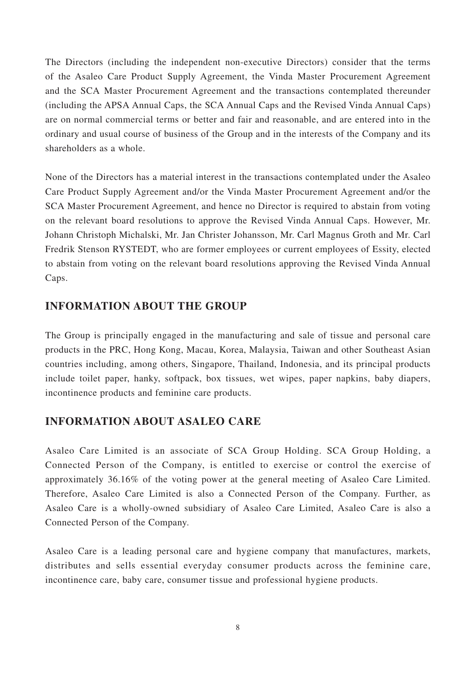The Directors (including the independent non-executive Directors) consider that the terms of the Asaleo Care Product Supply Agreement, the Vinda Master Procurement Agreement and the SCA Master Procurement Agreement and the transactions contemplated thereunder (including the APSA Annual Caps, the SCA Annual Caps and the Revised Vinda Annual Caps) are on normal commercial terms or better and fair and reasonable, and are entered into in the ordinary and usual course of business of the Group and in the interests of the Company and its shareholders as a whole.

None of the Directors has a material interest in the transactions contemplated under the Asaleo Care Product Supply Agreement and/or the Vinda Master Procurement Agreement and/or the SCA Master Procurement Agreement, and hence no Director is required to abstain from voting on the relevant board resolutions to approve the Revised Vinda Annual Caps. However, Mr. Johann Christoph Michalski, Mr. Jan Christer Johansson, Mr. Carl Magnus Groth and Mr. Carl Fredrik Stenson RYSTEDT, who are former employees or current employees of Essity, elected to abstain from voting on the relevant board resolutions approving the Revised Vinda Annual Caps.

### **INFORMATION ABOUT THE GROUP**

The Group is principally engaged in the manufacturing and sale of tissue and personal care products in the PRC, Hong Kong, Macau, Korea, Malaysia, Taiwan and other Southeast Asian countries including, among others, Singapore, Thailand, Indonesia, and its principal products include toilet paper, hanky, softpack, box tissues, wet wipes, paper napkins, baby diapers, incontinence products and feminine care products.

### **INFORMATION ABOUT ASALEO CARE**

Asaleo Care Limited is an associate of SCA Group Holding. SCA Group Holding, a Connected Person of the Company, is entitled to exercise or control the exercise of approximately 36.16% of the voting power at the general meeting of Asaleo Care Limited. Therefore, Asaleo Care Limited is also a Connected Person of the Company. Further, as Asaleo Care is a wholly-owned subsidiary of Asaleo Care Limited, Asaleo Care is also a Connected Person of the Company.

Asaleo Care is a leading personal care and hygiene company that manufactures, markets, distributes and sells essential everyday consumer products across the feminine care, incontinence care, baby care, consumer tissue and professional hygiene products.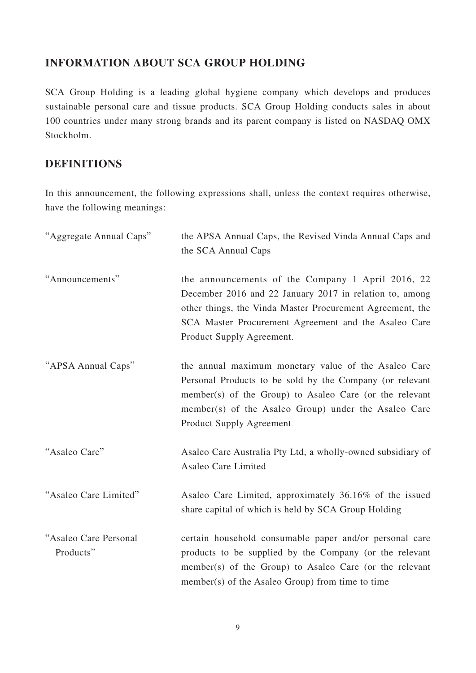## **INFORMATION ABOUT SCA GROUP HOLDING**

SCA Group Holding is a leading global hygiene company which develops and produces sustainable personal care and tissue products. SCA Group Holding conducts sales in about 100 countries under many strong brands and its parent company is listed on NASDAQ OMX Stockholm.

## **DEFINITIONS**

In this announcement, the following expressions shall, unless the context requires otherwise, have the following meanings:

| "Aggregate Annual Caps"            | the APSA Annual Caps, the Revised Vinda Annual Caps and<br>the SCA Annual Caps                                                                                                                                                                                         |
|------------------------------------|------------------------------------------------------------------------------------------------------------------------------------------------------------------------------------------------------------------------------------------------------------------------|
| "Announcements"                    | the announcements of the Company 1 April 2016, 22<br>December 2016 and 22 January 2017 in relation to, among<br>other things, the Vinda Master Procurement Agreement, the<br>SCA Master Procurement Agreement and the Asaleo Care<br>Product Supply Agreement.         |
| "APSA Annual Caps"                 | the annual maximum monetary value of the Asaleo Care<br>Personal Products to be sold by the Company (or relevant<br>member(s) of the Group) to Asaleo Care (or the relevant<br>member(s) of the Asaleo Group) under the Asaleo Care<br><b>Product Supply Agreement</b> |
| "Asaleo Care"                      | Asaleo Care Australia Pty Ltd, a wholly-owned subsidiary of<br>Asaleo Care Limited                                                                                                                                                                                     |
| "Asaleo Care Limited"              | Asaleo Care Limited, approximately 36.16% of the issued<br>share capital of which is held by SCA Group Holding                                                                                                                                                         |
| "Asaleo Care Personal<br>Products" | certain household consumable paper and/or personal care<br>products to be supplied by the Company (or the relevant<br>member(s) of the Group) to Asaleo Care (or the relevant<br>member(s) of the Asaleo Group) from time to time                                      |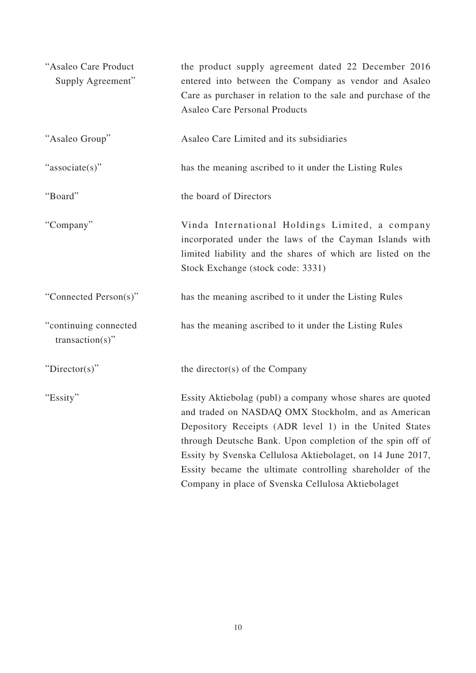| "Asaleo Care Product<br>Supply Agreement"   | the product supply agreement dated 22 December 2016<br>entered into between the Company as vendor and Asaleo<br>Care as purchaser in relation to the sale and purchase of the<br><b>Asaleo Care Personal Products</b>                                                                                                                                                                                                     |
|---------------------------------------------|---------------------------------------------------------------------------------------------------------------------------------------------------------------------------------------------------------------------------------------------------------------------------------------------------------------------------------------------------------------------------------------------------------------------------|
| "Asaleo Group"                              | Asaleo Care Limited and its subsidiaries                                                                                                                                                                                                                                                                                                                                                                                  |
| "associate(s)"                              | has the meaning ascribed to it under the Listing Rules                                                                                                                                                                                                                                                                                                                                                                    |
| "Board"                                     | the board of Directors                                                                                                                                                                                                                                                                                                                                                                                                    |
| "Company"                                   | Vinda International Holdings Limited, a company<br>incorporated under the laws of the Cayman Islands with<br>limited liability and the shares of which are listed on the<br>Stock Exchange (stock code: 3331)                                                                                                                                                                                                             |
| "Connected Person(s)"                       | has the meaning ascribed to it under the Listing Rules                                                                                                                                                                                                                                                                                                                                                                    |
| "continuing connected<br>$transaction(s)$ " | has the meaning ascribed to it under the Listing Rules                                                                                                                                                                                                                                                                                                                                                                    |
| "Director(s)"                               | the director(s) of the Company                                                                                                                                                                                                                                                                                                                                                                                            |
| "Essity"                                    | Essity Aktiebolag (publ) a company whose shares are quoted<br>and traded on NASDAQ OMX Stockholm, and as American<br>Depository Receipts (ADR level 1) in the United States<br>through Deutsche Bank. Upon completion of the spin off of<br>Essity by Svenska Cellulosa Aktiebolaget, on 14 June 2017,<br>Essity became the ultimate controlling shareholder of the<br>Company in place of Svenska Cellulosa Aktiebolaget |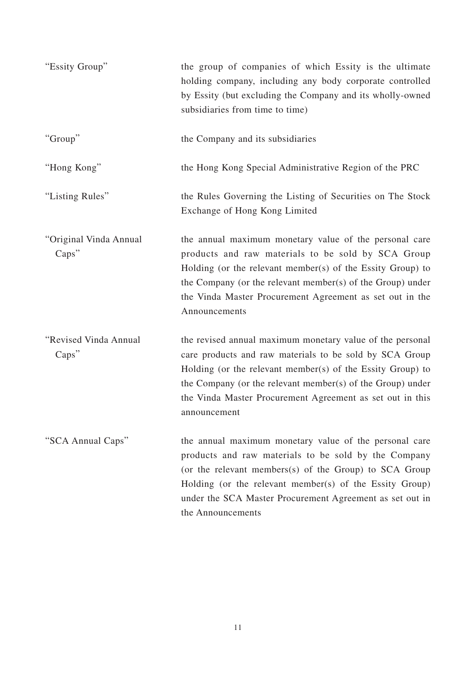| "Essity Group"                  | the group of companies of which Essity is the ultimate<br>holding company, including any body corporate controlled<br>by Essity (but excluding the Company and its wholly-owned<br>subsidiaries from time to time)                                                                                                            |
|---------------------------------|-------------------------------------------------------------------------------------------------------------------------------------------------------------------------------------------------------------------------------------------------------------------------------------------------------------------------------|
| "Group"                         | the Company and its subsidiaries                                                                                                                                                                                                                                                                                              |
| "Hong Kong"                     | the Hong Kong Special Administrative Region of the PRC                                                                                                                                                                                                                                                                        |
| "Listing Rules"                 | the Rules Governing the Listing of Securities on The Stock<br>Exchange of Hong Kong Limited                                                                                                                                                                                                                                   |
| "Original Vinda Annual<br>Caps" | the annual maximum monetary value of the personal care<br>products and raw materials to be sold by SCA Group<br>Holding (or the relevant member(s) of the Essity Group) to<br>the Company (or the relevant member(s) of the Group) under<br>the Vinda Master Procurement Agreement as set out in the<br>Announcements         |
| "Revised Vinda Annual<br>Caps"  | the revised annual maximum monetary value of the personal<br>care products and raw materials to be sold by SCA Group<br>Holding (or the relevant member(s) of the Essity Group) to<br>the Company (or the relevant member(s) of the Group) under<br>the Vinda Master Procurement Agreement as set out in this<br>announcement |
| "SCA Annual Caps"               | the annual maximum monetary value of the personal care<br>products and raw materials to be sold by the Company<br>(or the relevant members(s) of the Group) to SCA Group<br>Holding (or the relevant member(s) of the Essity Group)<br>under the SCA Master Procurement Agreement as set out in<br>the Announcements          |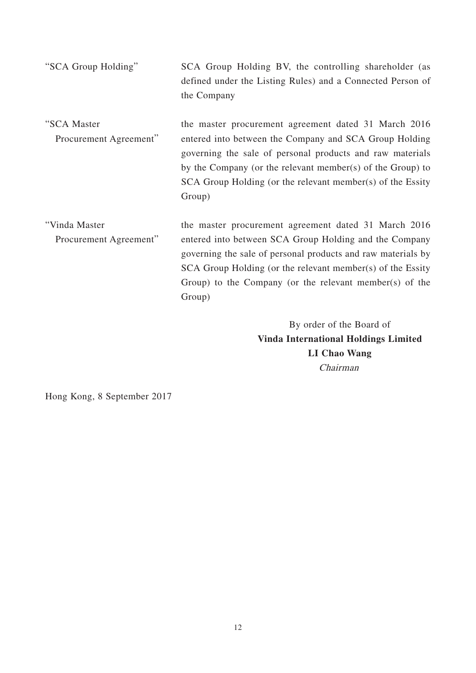| "SCA Group Holding" | SCA Group Holding BV, the controlling shareholder (as      |
|---------------------|------------------------------------------------------------|
|                     | defined under the Listing Rules) and a Connected Person of |
|                     | the Company                                                |
|                     |                                                            |

- "SCA Master Procurement Agreement" the master procurement agreement dated 31 March 2016 entered into between the Company and SCA Group Holding governing the sale of personal products and raw materials by the Company (or the relevant member(s) of the Group) to SCA Group Holding (or the relevant member(s) of the Essity Group)
- "Vinda Master Procurement Agreement" the master procurement agreement dated 31 March 2016 entered into between SCA Group Holding and the Company governing the sale of personal products and raw materials by SCA Group Holding (or the relevant member(s) of the Essity Group) to the Company (or the relevant member(s) of the Group)

By order of the Board of **Vinda International Holdings Limited LI Chao Wang** Chairman

Hong Kong, 8 September 2017